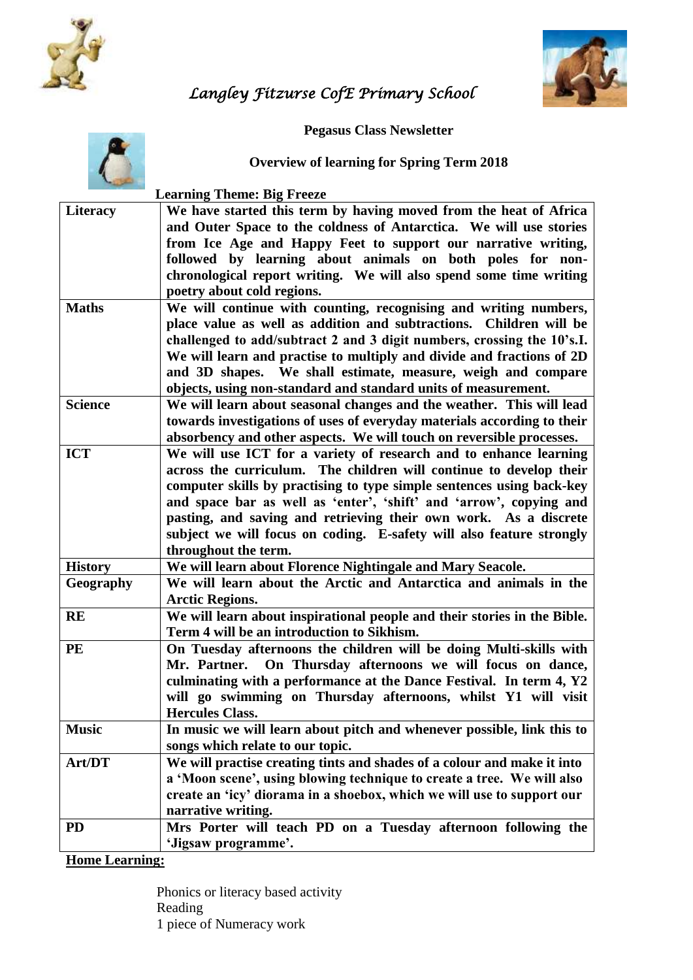

## *Langley Fitzurse CofE Primary School*

|                 | <b>Pegasus Class Newsletter</b>                                                                                                                 |
|-----------------|-------------------------------------------------------------------------------------------------------------------------------------------------|
|                 | <b>Overview of learning for Spring Term 2018</b>                                                                                                |
|                 | <b>Learning Theme: Big Freeze</b>                                                                                                               |
| <b>Literacy</b> | We have started this term by having moved from the heat of Africa                                                                               |
|                 | and Outer Space to the coldness of Antarctica. We will use stories                                                                              |
|                 | from Ice Age and Happy Feet to support our narrative writing,                                                                                   |
|                 | followed by learning about animals on both poles for non-                                                                                       |
|                 | chronological report writing. We will also spend some time writing                                                                              |
|                 | poetry about cold regions.                                                                                                                      |
| <b>Maths</b>    | We will continue with counting, recognising and writing numbers,                                                                                |
|                 | place value as well as addition and subtractions.<br>Children will be                                                                           |
|                 | challenged to add/subtract 2 and 3 digit numbers, crossing the 10's.I.                                                                          |
|                 | We will learn and practise to multiply and divide and fractions of 2D                                                                           |
|                 | and 3D shapes. We shall estimate, measure, weigh and compare                                                                                    |
| <b>Science</b>  | objects, using non-standard and standard units of measurement.                                                                                  |
|                 | We will learn about seasonal changes and the weather. This will lead                                                                            |
|                 | towards investigations of uses of everyday materials according to their<br>absorbency and other aspects. We will touch on reversible processes. |
| <b>ICT</b>      | We will use ICT for a variety of research and to enhance learning                                                                               |
|                 | across the curriculum. The children will continue to develop their                                                                              |
|                 | computer skills by practising to type simple sentences using back-key                                                                           |
|                 | and space bar as well as 'enter', 'shift' and 'arrow', copying and                                                                              |
|                 | pasting, and saving and retrieving their own work. As a discrete                                                                                |
|                 | subject we will focus on coding. E-safety will also feature strongly                                                                            |
|                 | throughout the term.                                                                                                                            |
| <b>History</b>  | We will learn about Florence Nightingale and Mary Seacole.                                                                                      |
| Geography       | We will learn about the Arctic and Antarctica and animals in the                                                                                |
|                 | <b>Arctic Regions.</b>                                                                                                                          |
| <b>RE</b>       | We will learn about inspirational people and their stories in the Bible.                                                                        |
|                 | Term 4 will be an introduction to Sikhism.                                                                                                      |
| PE              | On Tuesday afternoons the children will be doing Multi-skills with                                                                              |
|                 | On Thursday afternoons we will focus on dance,<br>Mr. Partner.                                                                                  |
|                 | culminating with a performance at the Dance Festival. In term 4, Y2                                                                             |
|                 | will go swimming on Thursday afternoons, whilst Y1 will visit                                                                                   |
|                 | <b>Hercules Class.</b>                                                                                                                          |
| <b>Music</b>    | In music we will learn about pitch and whenever possible, link this to                                                                          |
|                 | songs which relate to our topic.                                                                                                                |
| Art/DT          | We will practise creating tints and shades of a colour and make it into                                                                         |
|                 | a 'Moon scene', using blowing technique to create a tree. We will also                                                                          |
|                 | create an 'icy' diorama in a shoebox, which we will use to support our                                                                          |
|                 | narrative writing.                                                                                                                              |
| <b>PD</b>       | Mrs Porter will teach PD on a Tuesday afternoon following the                                                                                   |
|                 | 'Jigsaw programme'.                                                                                                                             |

**Home Learning:**

 Phonics or literacy based activity Reading 1 piece of Numeracy work